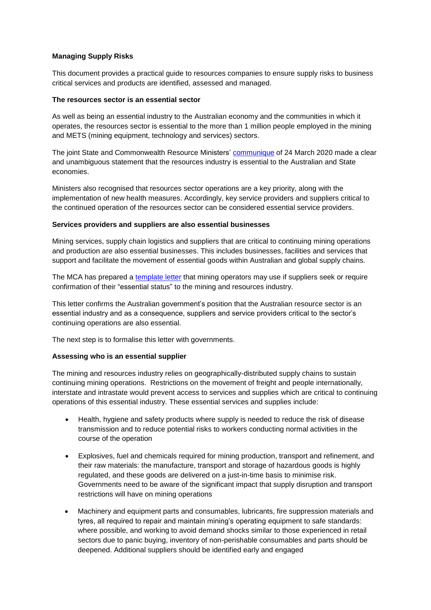## **Managing Supply Risks**

This document provides a practical guide to resources companies to ensure supply risks to business critical services and products are identified, assessed and managed.

### **The resources sector is an essential sector**

As well as being an essential industry to the Australian economy and the communities in which it operates, the resources sector is essential to the more than 1 million people employed in the mining and METS (mining equipment, technology and services) sectors.

The joint State and Commonwealth Resource Ministers' [communique](http://www.coagenergycouncil.gov.au/publications/national-resources-ministers-meeting-communique) of 24 March 2020 made a clear and unambiguous statement that the resources industry is essential to the Australian and State economies.

Ministers also recognised that resources sector operations are a key priority, along with the implementation of new health measures. Accordingly, key service providers and suppliers critical to the continued operation of the resources sector can be considered essential service providers.

#### **Services providers and suppliers are also essential businesses**

Mining services, supply chain logistics and suppliers that are critical to continuing mining operations and production are also essential businesses. This includes businesses, facilities and services that support and facilitate the movement of essential goods within Australian and global supply chains.

The MCA has prepared a [template letter](https://minerals.org.au/sites/default/files/200409%20Essential%20Supplier%20letter%20template.docx) that mining operators may use if suppliers seek or require confirmation of their "essential status" to the mining and resources industry.

This letter confirms the Australian government's position that the Australian resource sector is an essential industry and as a consequence, suppliers and service providers critical to the sector's continuing operations are also essential.

The next step is to formalise this letter with governments.

### **Assessing who is an essential supplier**

The mining and resources industry relies on geographically-distributed supply chains to sustain continuing mining operations. Restrictions on the movement of freight and people internationally, interstate and intrastate would prevent access to services and supplies which are critical to continuing operations of this essential industry. These essential services and supplies include:

- Health, hygiene and safety products where supply is needed to reduce the risk of disease transmission and to reduce potential risks to workers conducting normal activities in the course of the operation
- Explosives, fuel and chemicals required for mining production, transport and refinement, and their raw materials: the manufacture, transport and storage of hazardous goods is highly regulated, and these goods are delivered on a just-in-time basis to minimise risk. Governments need to be aware of the significant impact that supply disruption and transport restrictions will have on mining operations
- Machinery and equipment parts and consumables, lubricants, fire suppression materials and tyres, all required to repair and maintain mining's operating equipment to safe standards: where possible, and working to avoid demand shocks similar to those experienced in retail sectors due to panic buying, inventory of non-perishable consumables and parts should be deepened. Additional suppliers should be identified early and engaged